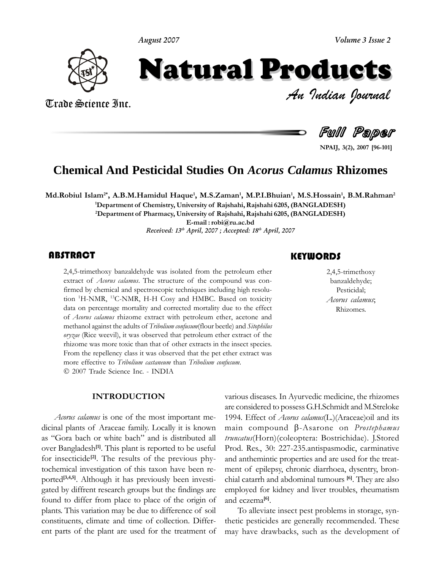**August 2007**



# *Volume 3 Issue 2*<br> **INCTS**<br>*Indian Dournal* Natural Products

Trade Science Inc. Trade Science Inc.



**3(2), <sup>2007</sup> [96-101]**

## **Chemical And Pesticidal Studies On** *Acorus Calamus* **Rhizomes**

Islam<sup>2\*</sup>, A.B.M.Hamidul Haque<sup>1</sup>, M.S.Zaman<sup>1</sup>, M.P.I.Bhuian<sup>1</sup>, M.S.Hossain<sup>1</sup>, B.M.Rahman<sup>2</sup><br>Department of Chemistry. University of Raishahi. Raishahi 6205. (BANGLADESH)

**2Department of Pharmacy, University of Rajshahi,Rajshahi 6205, (BANGLADESH) E-mail : robi@ru.ac.bd**

**Received: 13 th April, 2007 ; Accepted: 18 th April, 2007**

#### ABSTRACT

2,4,5-trimethoxy banzaldehyde was isolated from the petroleum ether extract of *Acorus calamus*. The structure of the compound was confirmed by chemical and spectroscopic techniques including high resolu-2,4,5-trimethoxy banzaldehyde was isolated from the petroleum ether<br>extract of *Acorus calamus*. The structure of the compound was conextract of Acorus calamus. The structure of the compound was confirmed by chemical and spectroscopic techniques including high resolution <sup>1</sup>H-NMR, <sup>13</sup>C-NMR, H-H Cosy and HMBC. Based on toxicity tion <sup>1</sup>H-NMR, <sup>13</sup>C-NMR, H-H Cosy and HMBC. Based on toxicity data on percentage mortality and corrected mortality due to the effect data on percentage mortality and corrected mortality due to the effect of *Acorus calamus* rhizome extract with petroleum ether, acetone and methanol against the adults of *Tribolium confusum*(flour beetle) and *Sitophilus* methanol against the adults of *Tribolium confusum*(flour beetle) and *Sitophilus oryzae* (Rice weevil), it was observed that petroleum ether extract of the rhizome was more toxic than that of other extracts in the insec thizome was more toxic than that of other extracts in the insect species. From the repellency class it was observed that the pet ether extract was more effective to Tribolium castaneum than Tribolium confusum.<br>© 2007 Trade Science Inc. - INDIA

are<br>*Acorus calamus* is one of the most important me- 199 prus calamus is one of the most important me-<br>plants of Araceae family. Locally it is known main dicinal plants of Araceae family. Locally it is known main as "Gora bach or white bach" and is distributed all *trun* as "Gora bach or white bach" and is distributed all  $tr$  over Bangladesh<sup>[1]</sup>. This plant is reported to be useful  $\Gamma$ over Bangladesh<sup>[1]</sup>. This plant is reported to be useful<br>for insecticide<sup>[2]</sup>. The results of the previous phyfor insecticide<sup>[2]</sup>. The results of the previous phy- and tochemical investigation of this taxon have been reto<br>chemical investigation of this taxon have been re-<br>ported<sup>[3,4,5]</sup>. Although it has previously been investi-<br>chi  $b_1$ <sup>[3,4,5]</sup>. Although it has previously been investi-<br>by diffrent research groups but the findings are emple example of the planet of the findings are empound to differ from place to place of the origin of and plants. This variation may be due to difference of soil plants. This variation may be due to difference of soil<br>constituents, climate and time of collection. Differconstituents, climate and time of collection. Differ-<br>ent parts of the plant are used for the treatment of may have drawbacks, such as the development of

## **KEYWORDS**

2,4,5-trimethox<br>banzaldehyde;<br>Pesticidal; , . . . . . . . .<br>.nzaldebyć *Acorusreadictivity*,<br>Pesticidal;<br>*orus. calamus*; Rhizomes.

 diseases. In Ayurvedic medicine, the rhizomes are considered to possess G.H.Schmidt and M.Streloke are considered to possess G.H.Schmidt and M.Streloke<br>1994. Effect of *Acorus calamus*(L.)(Araceae)oil and its<br>main compound B-Asarone on *Prostephamus* 1994. Effect of *Acorus calamus*(L.)(Araceae)oil and its *truncatus*(Horn)(coleoptera: Bostrichidae). J.Stored Francatus(Horn)(coleoptera: Bostrichidae). J.Stored<br>Prod. Res., 30: 227-235.antispasmodic, carminative  $\frac{1}{2}$  Prod. Res., 30: 227-235. antispasmodic, carminative and anthemintic properties and are used for the treatand anthemintic properties and are used for the treatof epilepsy, chronic diarrhoea, dysentry, bron-<br>catarrh and abdominal tumours <sup>[6]</sup>. They are also chial catarrh and abdominal tumours  $[6]$ . They are also<br>employed for kidney and liver troubles, rheumatism employed for kidne<br>and eczema<sup>[6]</sup>. and eczema<sup>[6]</sup>.

and eczema<sup>[6]</sup>.<br>To alleviate insect pest problems in storage, syn-<br>thetic pesticides are generally recommended. These thetic pesticides are generally recommended. These<br>may have drawbacks, such as the development of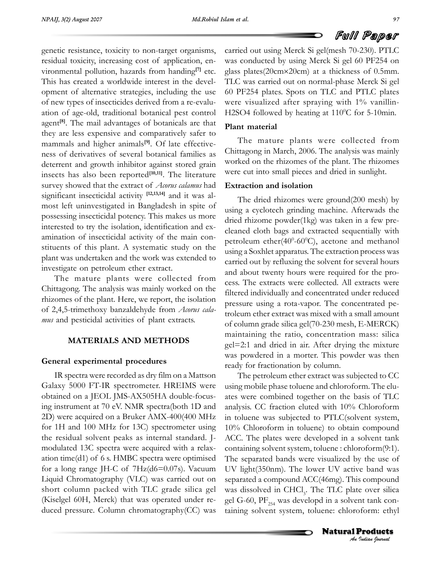carried

resistance, toxicity to non-target organisms, cannot be resistance, toxicity to non-target organisms, cannot genetic resistance, toxicity to non-target organisms, care<br>residual toxicity, increasing cost of application, en- $\frac{1}{2}$  is the contract of application, encodution, hazards from handing<sup>[7]</sup> etc. **[7]**en- $\frac{1}{2}$  vironmental pollution, hazards from handing<sup>[7]</sup> etc. glas This has created a worldwide interest in the development of alternative strategies, including the use 60<br>of new types of insecticides derived from a re-evaluof new types of insecticides derived from a re-evaluation of age-old, traditional botanical pest control H2<br>agent<sup>[8]</sup>. The mail advantages of botanicals are that agent<sup>[8]</sup>. The mail advantages of botanicals are that  $\frac{P}{P}$  **Plant** is **Pla**<br>they are less expensive and comparatively safer to<br>mammals and higher animals<sup>[9]</sup>. Of late effectivemammals and higher animals<sup>[9]</sup>. Of late effectiveness of derivatives of several botanical families as<br>deterrent and growth inhibitor against stored grain deterrent and growth inhibitor against stored grain work<br>insects has also been reported<sup>[10,11]</sup>. The literature were survey showed that the extract of *Acorus calamus* had **Extract** survey showed that the extract of  $A$ consignificant insecticidal activity  $[12,13,14]$ 0f *At* survey showed that the extract of *Acorus calamus* had  $\mathbf{E} \mathbf{x}$  significant insecticidal activity  $[12,13,14]$  and it was alsignificant insecticidal activity [12,13,14] and it was alpossessing insecticidal potency. This makes us more and possessing insecticidal potency. This makes us more possessing insecticidal potency. This makes us more<br>interested to try the isolation, identification and exinterested to try the isolation, identification and examination of insecticidal activity of the main conpetrole<br>stituents of this plant. A systematic study on the using a<br>plant was undertaken and the work was extended to plant was undertaken and the work was ext<br>investigate on petroleum ether extract.

carried out the collected from<br>
The mature plants were collected from<br>
Chittagong. The analysis was mainly worked on the cess. T<br>Chittagong. The analysis was mainly worked on the<br>thizomes of the plant. Here, we report, the isolation of 2,4,5-trimethoxy banzaldehyde from *Acorus cala-* **pr** of 2,4,5-trimethoxy banzaldehyde from Acorus cala*mus* and pesticidal activities of plant extracts.

#### **MATERIALS AND METHODS**

# **experimental procedures**

General experimental procedures<br>
IR spectra were recorded as dry film on a Mattson<br>
Galaxy 5000 FT-IR spectrometer. HREIMS were using m Galaxy 5000 FT-IR spectrometer. HREIMS were<br>obtained on a IEOL IMS-AX505HA double-focusing in<br>obtained on a JEOL JMS-AX505HA double-focus-<br>ing instrument at 70 eV. NMR spectra(both 1D and analysis 2D) were acquired on a Bruker AMX-400(400 MHz in tol  $f(x)$  were acquired on a Bruker AMX-400(400 MHz in toleration 1H and 100 MHz for 13C) spectrometer using  $10\%$ for 1H and 100 MHz for 13C) spectrometer using  $10^{\circ}$ <br>the residual solvent peaks as internal standard. I- AC the residual solvent peaks as internal standard. Jmodulated 13C spectra were acquired with a relaxation time(d1) of 6 s. HMBC spectra were optimised The separat<br>for a long range IH-C of 7Hz(d6=0.07s). Vacuum IIV light(35 for a long range JH-C of 7Hz(d6=0.07s). Vacuum UV lig<br>Liquid Chromatography (VLC) was carried out on separat Liquid Chromatography (VLC) was carried out on set short column packed with TLC grade silica gel was<br>(Kiselgel 60H, Merck) that was operated under re- gel (Kiselgel 60H, Merck) that was operated under re- gel G-60,  $PF_{254}$  was developd in a solvent tank con-<br>duced pressure. Column chromatography(CC) was taining solvent system, toluene: chloroform: ethyl

**FUIII Paper**<br>
carried out using Merck Si gel(mesh 70-230). PTLC<br>
was conducted by using Merck Si gel 60 PF254 on glas<br>Sizone carried out using Merck Si gel(mesh 70-230). PTLC<br>was conducted by using Merck Si gel 60 PF254 on<br>glass plates(20cm×20cm) at a thickness of 0.5mm. glass plates (20 $cm \times 20$ cm) at a thickness of 0.5mm. TLC was carried out on normal-phase Merck Si gel<br>60 PF254 plates. Spots on TLC and PTLC plates 60 PF254 plates. Spots on TLC and PTLC plates<br>were visualized after spraying with  $1\%$  vanillinwere visualized after spraying with 1% vanillin-<br>H2SO4 followed by heating at 110<sup>o</sup>C for 5-10min.  $H2SO4$  followed by heating at  $110^{\circ}$ C for 5-10min.

## Plant material

Plant material<br>
The mature plants were collected from<br>
Chittagong in March, 2006. The analysis was mainly Chittagong in March, 2006. The analysis was mainly<br>worked on the rhizomes of the plant. The rhizomes worked on the rhizomes of the plant. The rhizomes were cut into small pieces and dried in sunlight. were cut into small pieces and dried in sunlight.

## Extraction and isolation

Extraction and isolation<br>
The dried rhizomes were ground(200 mesh) by<br>
using a cyclotech grinding machine. Afterwads the  $\alpha$  a cyclotech grinding machine. Afterwads the dried rhizome powder(1kg) was taken in a few predried rhizome powder $(1kg)$  was taken in a few precleaned cloth bags and extracted sequentially with<br>petroleum ether(40<sup>0</sup>-60<sup>0</sup>C), acetone and methanol petroleum ether $(40^{\circ} - 60^{\circ}C)$ , acetone and methanol<br>using a Soxhlet apparatus. The extraction process was process was<br>using a Soxhlet apparatus. The extraction process was<br>carried out by refluxing the solvent for several hours Example 18 and about twenty hours were required for the proand about twenty hours were required for the pro-Figures. The extracts were collected. All extracts were<br>filtered individually and concentrated under reduced filtered individually and concentrated under reduced<br>pressure using a rota-vapor. The concentrated pepressure using a rota-vapor. The concentrated percoleum ether extract was mixed with a small amount of column ether extract was mixed with a small amount<br>of column grade silica gel(70-230 mesh, E-MERCK) of column grade silica gel(70-230 mesh, E-MERCK)<br>maintaining the ratio, concentration mass: silica  $\frac{1}{2}$  maintaining the ratio, concentration mass: silica<br>gel=2:1 and dried in air. After drying the mixture gel=2:1 and dried in air. After drying the mixture<br>was powdered in a morter. This powder was then was powdered in a morter. This pow<br>ready for fractionation by column.

separated a compound ACC(46mg). This compound<br>was dissolved in CHCl. The TLC plate over silica *I* compound<br>*Inst* tank conform: ethyl<br>**Products**<br>*Indian Iournal* ready for fractionation by column.<br>The petroleum ether extract was subjected to CC<br>using mobile phase toluene and chloroform. The eluusing mobile phase toluene and chloroform. The eluates were combined together on the basis of TLC<br>analysis. CC fraction eluted with 10% Chloroform in toluene was subjected with 10% Chloroform<br>in toluene was subjected to PTLC(solvent system, in toluene was subjected to PTLC(solvent system, 10% Chloroform in toluene) to obtain compound<br>ACC. The plates were developed in a solvent tank ACC. The plates were developed in a solvent tank<br>containing solvent system, toluene : chloroform(9:1). containing solvent system, toluene : chloroform(9:1). The separated bands were visualized by the use of<br>UV light(350nm). The lower UV active band was UV light  $(350nm)$ . The lower UV active band was separated a compound  $ACC(46mp)$ . This compound was dissolved<br>gel G-60, PF was dissolved in CHCl<sub>3</sub>. The TLC plate over silica<br>gel G-60,  $PF_{254}$  was developd in a solvent tank con-<br>taining solvent system, toluene: chloroform: ethyl

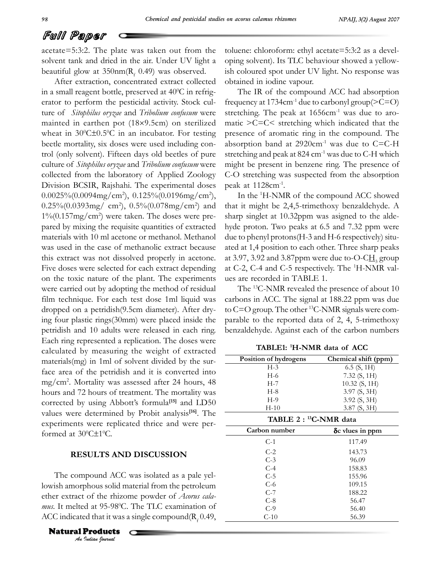$\sim$ 

## Full Paper

FUII Paper<br>acetate=5:3:2. The plate was taken out from the toluene<br>solvent tank and dried in the air. Under UV light a oping so beautiful glow at 350nm(R) tank and dried in the air. Under UV light a<br>utiful glow at  $350 \text{nm}(\text{R}_{\text{f}} 0.49)$  was observed. beautiful glow at  $350 \text{nm}(\text{R}_{\text{f}} 0.49)$  was observed. ish collected obtained extract collected obtained

After extraction, concentrated extract collected obt<br>in a small reagent bottle, preserved at  $40^{\circ}$ C in refrig-After extraction, concentrated extract collected obtained in iodine vapour.<br>in a small reagent bottle, preserved at  $40^{\circ}$ C in refrig-<br>The IR of the component erator to perform the pesticidal activity. Stock cul-<br>ture of *Sitophilus oryzae* and *Tribolium confusum* were stretch<br>mainted in earthen pot (18×9.5cm) on sterilized matic ture of *Sitophilus of*<br>mainted in earther mainted in earthen pot  $(18\times9.5cm)$  on sterilized matic<br>wheat in  $30^{\circ}$ C±0.5°C in an incubator. For testing preser wheat in  $30^{\circ}$ C $\pm$ 0.5 $^{\circ}$ C in an incubator. For testing position beetle mortality, six doses were used including conbeetle mortality, six doses were used including con-<br>trol (only solvent). Fifteen days old beetles of pure stretc culture of *Sitophilus oryzae* and *Tribolium confusum* were culture of *Sitophilus oryzae* and *Tribolium confusum* were migh<br>collected from the laboratory of Applied Zoology C-O Collected from the laboratory of Applied Zoology<br>Division BCSIR, Raishahi. The experimental doses Division BCSIR, Rajshahi. The experimental doses p<br> $0.0025\%(0.0094mg/cm^2)$ ,  $0.125\%(0.0196mg/cm^2)$ ,  $0.0025\%(0.0094mg/cm^2), 0.125\%(0.0196mg/cm^2),$  $\frac{1}{2}$  0.25%(0.0393mg/cm<sup>2</sup>), 0.5%(0.078mg/cm<sup>2</sup>) and tha<br>1%(0.157mg/cm<sup>2</sup>) were taken. The doses were pre- $1\%/0.157mg/cm^2$  were taken. The doses were prepared by mixing the requisite quantities of extracted hymaterials with 10 ml acetone or methanol. Methanol materials with 10 ml acetone or methanol. Methanol due to<br>was used in the case of methanolic extract because ated a was used in the case of methanolic extract because was used in the case of methanolic extract because at this extract was not dissolved properly in acetone. extract was not dissolved properly in acetone. at 3.9<br>doses were selected for each extract depending at C-2 Five doses were selected for each extract depending at C<br>on the toxic nature of the plant. The experiments ues on the toxic nature of the plant. The experiments us were carried out by adopting the method of residual<br>film technique. For each test dose 1ml liquid was carb film technique. For each test dose 1ml liquid was<br>dropped on a petridish(9.5cm diameter). After drydropped on a petridish $(9.5cm \text{ diameter})$ . After dry- to C=<br>ing four plastic rings $(30mm)$  were placed inside the parab  $\frac{1}{2}$  per plastic rings(30mm) were placed inside the particle is not perfected in each ring. petridish and 10 adults were released in each ring. Each ring represented a replication. The doses were<br>calculated by measuring the weight of extracted  $\frac{1}{2}$  calculated by measuring the weight of extracted  $\frac{1}{2}$  materials(mg) in 1ml of solvent divided by the sur $materials(mg)$  in 1ml of solvent divided by the surface area of the petridish and it is converted into  $mp/cm^2$ . Mortality was assessed after 24 hours, 48 mg/cm<sup>2</sup>. Mortality was assessed after 24 hours, 48<br>hours and 72 hours of treatment. The mortality was bours and 72 hours of treatment. The mortalistic orrected by using Abbott's formula<sup>[15]</sup> and **[15]**ortality was<br>and LD50 corrected by using Abbott's formula<sup>[15]</sup> and LD50<br>values were determined by Probit analysis<sup>[16]</sup>. The values were determined by Probit analysis<sup>[16]</sup>. The  $\equiv$  experiments were replicated thrice and were perents were rep<br>at 30<sup>o</sup>C±1<sup>o</sup>C. **RESULTS**formed at 30°C±1°C.<br>**RESULTS AND DISCUSSION** 

The compound ACC was isolated as a pale yel-<br>lowish amorphous solid material from the petroleum Ine compound ACC was solated as a pate yer-<br>
lowish amorphous solid material from the petroleum<br>
ether extract of the rhizome powder of *Acorus cala-*<br> *mus.* It melted at 95-98°C. The TLC examination of<br>
ACC indicated th Extract of the rhizome powder of *Acorus cala*-<br>It melted at 95-98<sup>o</sup>C. The TLC examination of mus. It melted at 95-98°C. The TLC examination of<br>ACC indicated that it was a single compound( $R_f$  0.49,

**Natural Products** 

 $\frac{1}{2}$ toluene: chloroform: ethyl acetate=5:3:2 as a devele: chloroform: ethyl acetate=5:3:2 as a devel-<br>solvent). Its TLC behaviour showed a yellowoping solvent). Its TLC behaviour showed a yellow-<br>ish coloured spot under UV light. No response was ish coloured spot under UV lights.

obtained in iodine vapour.<br>
The IR of the compound ACC had absorption<br>
frequency at 1734cm<sup>-1</sup> due to carbonyl group( $\geq C=O$ ) frequency at 1734cm<sup>-1</sup> due to carbonyl group( $\geq C=O$ )<br>stretching. The peak at 1656cm<sup>-1</sup> was due to arostretching. The peak at  $1656 \text{cm}^{-1}$  was due to aro- $\frac{1}{2}$  presence of aromatic ring in the compound. The presence of aromatic ring in the compound. The<br>absorption band at  $2920 \text{cm}^{-1}$  was due to C=C-H stretching and peak at  $2920 \text{cm}^{-1}$  was due to C=C-H stretching and peak at  $824 \text{cm}^{-1}$  was due to C-H which stretching and peak at  $824 \text{ cm}^{-1}$  was due to C-H which<br>might be present in benzene ring. The presence of might be present in benzene ring. The presence of<br>C-O stretching was suspected from the absorption  $C$ -O stretching was su  $k$  at 1128 $cm^{-1}$ .<br>In the <sup>1</sup>H-NMR of of the compound ACC showed

thatit might be 2,4,5-trimethoxy benzaldehyde. A that it might be  $2,4,5$ -trimethoxy benzaldehyde. A sharp singlet at  $10.32$ ppm was asigned to the aldesharp singlet at 10.32 ppm was asigned to the aldehyde proton. Two peaks at  $6.5$  and  $7.32$  ppm were<br>due to phenyl protons(H-3 and H-6 respectively) situdue to phenyl protons(H-3 and H-6 respectively) situated at 1,4 position to each other. Three sharp<br>at 3.97, 3.92 and 3.87ppm were due to-O-CH. ated at 1,4 position to each other. Three sharp peaks<br>at 3.97, 3.92 and 3.87ppm were due to-O-C $H_3$  group<br>at C-2, C-4 and C-5 respectively. The <sup>1</sup>H-NMR valat C-2, C-4 and C-5 respectively. The  $^1$ H-NMR values are recorded in TABLE 1.

revealed in TABLE 1.<br>The <sup>13</sup>C-NMR revealed the presence of about 10<br>carbons in ACC. The signal at 188.22 ppm was due carbons in ACC. The signal at  $188.22$  ppm was due<br>to C=O group. The other <sup>13</sup>C-NMR signals were comto C=O group. The other <sup>13</sup>C-NMR signals were combenzaldehyde. Against each of 2, 4, 5-trimethoxy<br>benzaldehyde. Against each of the carbon numbers

**TABLE1:1H-NMR data of ACC TARI E1. 1H NMP** data

| TABLE1: <sup>1</sup> H-NMR data of ACC |                      |  |  |  |  |
|----------------------------------------|----------------------|--|--|--|--|
| Position of hydrogens                  | Chemical shift (ppm) |  |  |  |  |
| $H-3$                                  | $6.5$ (S, 1H)        |  |  |  |  |
| $H-6$                                  | 7.32 $(S, 1H)$       |  |  |  |  |
| $H-7$                                  | $10.32$ (S, 1H)      |  |  |  |  |
| $H-8$                                  | 3.97 (S, 3H)         |  |  |  |  |
| $H-9$                                  | $3.92$ (S, 3H)       |  |  |  |  |
| $H-10$                                 | $3.87 \; (S, 3H)$    |  |  |  |  |
| TABLE 2 : <sup>13</sup> C-NMR data     |                      |  |  |  |  |
| Carbon number                          | δ cvlues in ppm      |  |  |  |  |
| $C-1$                                  | 117.49               |  |  |  |  |
| $C-2$                                  | 143.73               |  |  |  |  |
| $C-3$                                  | 96.09                |  |  |  |  |
| $C-4$                                  | 158.83               |  |  |  |  |
| $C-5$                                  | 155.96               |  |  |  |  |
| $C-6$                                  | 109.15               |  |  |  |  |
| $C-7$                                  | 188.22               |  |  |  |  |
| $C-8$                                  | 56.47                |  |  |  |  |
| $C-9$                                  | 56.40                |  |  |  |  |
| $C-10$                                 | 56.39                |  |  |  |  |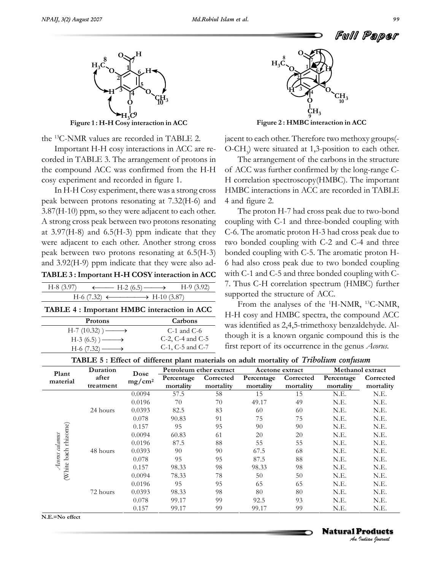

Figur

Figure 1: H-H Cosy interaction in ACC<br><sup>13</sup>C-NMR values are recorded in TABLE 2. **Important** the <sup>13</sup>C-NMR values are recorded in TABLE 2. jace<br>Important H-H cosy interactions in ACC are re-  $O$ -0

Important H-H cosy interactions in ACC are rethe compound ACC was confirmed from the H-H of ACC was confirmed from the H-H of ACC was the compound ACC was confirmed from the<br>cosy experiment and recorded in figure 1.

Frament and recorded in figure 1. H corr<br>
In H-H Cosy experiment, there was a strong cross HMBC<br>
peak between protons resonating at 7.32(H-6) and 4 and 1 peak between protons resonating at  $7.32(H-6)$  and  $4.3.87(H-10)$  ppm, so they were adjacent to each other. peak between protons resonating at  $7.32(H-6)$  and 4 and figure 2.<br>3.87(H-10) ppm, so they were adjacent to each other. The proton A strong cross peak between two protons resonating couplet 3.97(H-8) and 6.5(H-3) ppm indicate that they  $C=6$ . at  $3.97(H-8)$  and  $6.5(H-3)$  ppm indicate that they C-6.<br>were adjacent to each other. Another strong cross two were adjacent to each other. Another strong cross two<br>peak between two protons resonating at  $6.5(H-3)$  both peak between two protons resonating at  $6.5(H-3)$  both<br>and  $3.92(H-9)$  ppm indicate that they were also ad-**TABLE <sup>3</sup> :Important H-H COSY interaction in ACC** ABI E 3 : Important H-H COSY interaction in ACC<br>  $(3.97)$   $\longleftarrow$  H-2 (6.5)  $\longrightarrow$  H-9 (3.92)

| 1. DELLI 9 . IMPORTANTI II-LI COUL MITTACHUM III ACC                      |         |
|---------------------------------------------------------------------------|---------|
| $H-8$ (3.97) $\longleftrightarrow$ H-2 (6.5) $\longrightarrow$ H-9 (3.92) | 7. Thus |
| $H-6$ (7.32) $\longleftrightarrow$ H-10 (3.87)                            | support |
| TABLE 4 : Important HMBC interaction in ACC                               | Fro1    |

| TABLE 4 : Important HMBC interaction in ACC |                         |  |  |  |  |  |
|---------------------------------------------|-------------------------|--|--|--|--|--|
| <b>Protons</b>                              | Carbons                 |  |  |  |  |  |
| $H-7(10.32)$ ) ——                           | $C-1$ and $C-6$         |  |  |  |  |  |
| $H-3(6.5)$ ) ——                             | $C-2$ , $C-4$ and $C-5$ |  |  |  |  |  |
| $H-6$ (7.32) $\longrightarrow$              | C-1, C-5 and C-7        |  |  |  |  |  |



**H**

**<sup>2</sup> : HMBC interaction in ACC**

Figure 2 : HMBC interaction in ACC<br>iacent to each other. Therefore two methoxy groups(nt to each other. Therefore two methoxy groups(-<br>CH ) were situated at 1.3-position to each other.  $O-CH_3$ ) were situated at 1,3-position to each other.<br>The arrangement of the carbons in the structure

The arrangement of the carbons in the structure of ACC was further confirmed by the long-range C-H correlation spectroscopy(HMBC). The important<br>HMBC interactions in ACC are recorded in TABLE HMBC interactions<br>4 and figure 2.

4 and figure 2.<br>The proton H-7 had cross peak due to two-bond<br>coupling with C-1 and three-bonded coupling with coupling with C-1 and three-bonded coupling with  $C$ -6. The aromatic proton H-3 had cross peak due to  $C$ -6. The aromatic proton H-3 had cross peak due to two bonded coupling with  $C$ -2 and  $C$ -4 and three two bonded coupling with C-2 and C-4 and three<br>bonded coupling with C-5. The aromatic proton Hbonded coupling with C-5. The aromatic proton H- $\frac{1}{2}$  of had also cross peak due to two bonded coupling with C-1 and C-5 and three bonded coupling with Cwith  $C-1$  and  $C-5$  and three bonded coupling with  $C-$ 7. Thus C-H correlation spectrum (F<br>supported the structure of ACC. supported the structure of ACC.<br>From the analyses of the  $^{1}$ H-NMR,  $^{13}$ C-NMR. supported the structure of ACC.

From the analyses of the  ${}^{1}H\text{-NMR}$ ,  ${}^{13}C\text{-NMR}$ , cosy and HMBC spectra, the compound ACC H-H cosy and HMBC spectra, the compound ACC<br>was identified as 2.4.5-trimethoxy benzaldehyde. Al- $\frac{1}{100}$  was identified as 2,4,5-trimethoxy benzaldehyde. Although it is a known organic compound this is the First report of its occurrence in the genus *Acorus*.<br>
H-3 (6.5)  $\longrightarrow$  C-2, C-4 and C-5 though it is a known organic compound this is the <br>
H-6 (7.32)  $\longrightarrow$  C-1, C-5 and C-7 first report of its occurrence in the genus *Acor* 

| Plant<br>material    | Duration<br>after<br>treatment | Dose      |                         | Petroleum ether extract | Acetone extract         |                        | Methanol extract        |                        |  |
|----------------------|--------------------------------|-----------|-------------------------|-------------------------|-------------------------|------------------------|-------------------------|------------------------|--|
|                      |                                | $mg/cm^2$ | Percentage<br>mortality | Corrected<br>mortality  | Percentage<br>mortality | Corrected<br>mortality | Percentage<br>mortality | Corrected<br>mortality |  |
|                      |                                | 0.0094    | 57.5                    | 58                      | 15                      | 15                     | N.E.                    | N.E.                   |  |
| (White bach rhizome) |                                | 0.0196    | 70                      | 70                      | 49.17                   | 49                     | N.E.                    | N.E.                   |  |
|                      | 24 hours<br>48 hours           | 0.0393    | 82.5                    | 83                      | -60                     | 60                     | N.E.                    | N.E.                   |  |
|                      |                                | 0.078     | 90.83                   | 91                      | 75                      | 75                     | N.E.                    | N.E.                   |  |
|                      |                                | 0.157     | 95                      | 95                      | 90                      | 90                     | N.E.                    | N.E.                   |  |
|                      |                                | 0.0094    | 60.83                   | 61                      | 20                      | 20                     | N.E.                    | N.E.                   |  |
| Acorus calamus       |                                | 0.0196    | 87.5                    | 88                      | 55                      | 55                     | N.E.                    | N.E.                   |  |
|                      |                                | 0.0393    | 90                      | 90                      | 67.5                    | 68                     | N.E.                    | N.E.                   |  |
|                      |                                | 0.078     | 95                      | 95                      | 87.5                    | 88                     | N.E.                    | N.E.                   |  |
|                      |                                | 0.157     | 98.33                   | 98                      | 98.33                   | 98                     | N.E.                    | N.E.                   |  |
|                      |                                | 0.0094    | 78.33                   | 78                      | 50                      | 50                     | N.E.                    | N.E.                   |  |
|                      |                                | 0.0196    | 95                      | 95                      | 65                      | 65                     | N.E.                    | N.E.                   |  |
|                      | 72 hours                       | 0.0393    | 98.33                   | 98                      | 80                      | 80                     | N.E.                    | N.E.                   |  |
|                      |                                | 0.078     | 99.17                   | 99                      | 92.5                    | 93                     | N.E.                    | N.E.                   |  |
|                      |                                | 0.157     | 99.17                   | 99                      | 99.17                   | 99                     | N.E.                    | N.E.                   |  |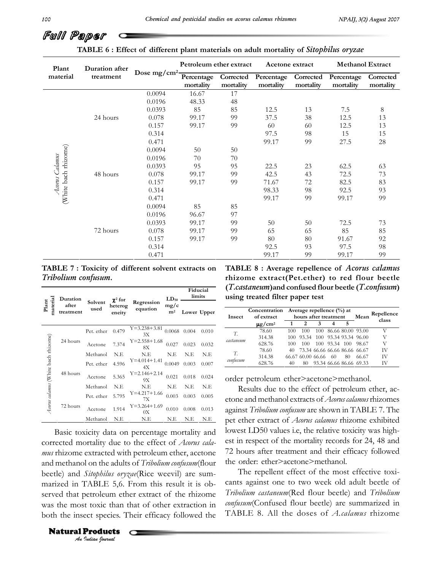# Full Paper **Co**

| Plant<br>material    | Duration after<br>treatment | Dose mg/cm <sup>2</sup> | Petroleum ether extract |                        | Acetone extract         |                        | <b>Methanol Extract</b> |                        |
|----------------------|-----------------------------|-------------------------|-------------------------|------------------------|-------------------------|------------------------|-------------------------|------------------------|
|                      |                             |                         | Percentage<br>mortality | Corrected<br>mortality | Percentage<br>mortality | Corrected<br>mortality | Percentage<br>mortality | Corrected<br>mortality |
|                      |                             | 0.0094                  | 16.67                   | 17                     |                         |                        |                         |                        |
|                      |                             | 0.0196                  | 48.33                   | 48                     |                         |                        |                         |                        |
|                      |                             | 0.0393                  | 85                      | 85                     | 12.5                    | 13                     | 7.5                     | 8                      |
|                      | 24 hours                    | 0.078                   | 99.17                   | 99                     | 37.5                    | 38                     | 12.5                    | 13                     |
|                      |                             | 0.157                   | 99.17                   | 99                     | 60                      | 60                     | 12.5                    | 13                     |
|                      |                             | 0.314                   |                         |                        | 97.5                    | 98                     | 15                      | 15                     |
|                      |                             | 0.471                   |                         |                        | 99.17                   | 99                     | 27.5                    | 28                     |
| (White bach rhizome) |                             | 0.0094                  | 50                      | 50                     |                         |                        |                         |                        |
| Acorus Calamus       |                             | 0.0196                  | 70                      | 70                     |                         |                        |                         |                        |
|                      |                             | 0.0393                  | 95                      | 95                     | 22.5                    | 23                     | 62.5                    | 63                     |
|                      | 48 hours                    | 0.078                   | 99.17                   | 99                     | 42.5                    | 43                     | 72.5                    | 73                     |
|                      |                             | 0.157                   | 99.17                   | 99                     | 71.67                   | 72                     | 82.5                    | 83                     |
|                      |                             | 0.314                   |                         |                        | 98.33                   | 98                     | 92.5                    | 93                     |
|                      |                             | 0.471                   |                         |                        | 99.17                   | 99                     | 99.17                   | 99                     |
|                      |                             | 0.0094                  | 85                      | 85                     |                         |                        |                         |                        |
|                      |                             | 0.0196                  | 96.67                   | 97                     |                         |                        |                         |                        |
|                      |                             | 0.0393                  | 99.17                   | 99                     | 50                      | 50                     | 72.5                    | 73                     |
|                      | 72 hours                    | 0.078                   | 99.17                   | 99                     | 65                      | 65                     | 85                      | 85                     |
|                      |                             | 0.157                   | 99.17                   | 99                     | 80                      | 80                     | 91.67                   | 92                     |
|                      |                             | 0.314                   |                         |                        | 92.5                    | 93                     | 97.5                    | 98                     |
|                      |                             | 0.471                   |                         |                        | 99.17                   | 99                     | 99.17                   | 99                     |

**7ABLE 7: Toxicity of different solvent extracts on**  $Tribolium$  *confusum*.

|                                         | Duration |                 | $\chi^2$ for      |                          | $LD_{50}$              | Fiducial<br>limits |             |  |
|-----------------------------------------|----------|-----------------|-------------------|--------------------------|------------------------|--------------------|-------------|--|
| material<br>Plant<br>after<br>treatment |          | Solvent<br>used | heterog<br>eneity | Regression<br>equation   | mg/c<br>m <sup>2</sup> |                    | Lower Upper |  |
|                                         |          | Pet. ether      | 0.479             | $Y = 3.238 + 3.81$<br>3X | 0.0068                 | 0.004              | 0.010       |  |
|                                         | 24 hours | Acetone         | 7.374             | $Y = 2.558 + 1.68$<br>8X | 0.027                  | 0.023              | 0.032       |  |
|                                         | Methanol | N.E             | N.E               | N.E                      | N.E                    | N.E                |             |  |
| Aorus calamus (White bach rhizome)      |          | Pet. ether      | 4.596             | $Y=4.014+1.41$<br>4Х     | 0.0049                 | 0.003              | 0.007       |  |
|                                         | 48 hours | Acetone         | 5.365             | $Y = 2.146 + 2.14$<br>9X | 0.021                  | 0.018              | 0.024       |  |
|                                         |          | Methanol        | N.E               | N.E                      | N.E                    | N.E                | N.E         |  |
|                                         |          | Pet. ether      | 5.795             | $Y=4.217+1.66$<br>7X     | 0.003                  | 0.003              | 0.005       |  |
|                                         | 72 hours | Acetone         | 1.914             | $Y = 3.264 + 1.69$<br>0X | 0.010                  | 0.008              | 0.013       |  |
|                                         |          | Methanol        | N.E               | N.E                      | N.E                    | N.E                | N.E         |  |

*An An I In* TABLE 5,6. From this result it is ob-<br>
that petroleum ether extract of the rhizome Tribo.<br>
Prose most toxic than that of other extraction in *confus*<br>
in the insect species. Their efficacy followed the T Methanol N.E N.E N.E N.E N.E pet eth<br>Basic toxicity data on percentage mortality and lowest<br>corrected mortality due to the effect of *Acorus cala*-est in t corrected mortality due to the effect of Acorus calamus thizome extracted with petroleum ether, acetone 72<sup>1</sup><br>and methanol on the adults of *Tribolium confusum*(flour the and methanol on the adults of *Tribolium confusum* (flour the beetle) and *Sitophilus oryzae*(Rice weevil) are sumbeetle) and *Sitophilus oryzae*(Rice weevil) are sumserved that petroleum ether extract of the rhizome  $Tribolix$ <br>was the most toxic than that of other extraction in  $\frac{confusu}{u}$ was the most toxic than that of other extraction in *confus*<br>both the insect species. Their efficacy followed the  $TAB$ 

**Natural Products** 

 **<sup>8</sup> : Average repellence ofAcorus calamus rhizome extract(Pet.ether) to red flour beetle** rhizome extract(Pet.ether) to red flour beetle **T.castaneum)and confused flour beetle (T.confusum) using treated filter paper test**

| Insect         | Concentration<br>of extract |     | Average repellence $(\% )$ at<br>hours after treatment |   | Mean | Repellence                    |       |
|----------------|-----------------------------|-----|--------------------------------------------------------|---|------|-------------------------------|-------|
|                | $\mu$ g/cm <sup>2</sup>     |     |                                                        | 3 | 5    |                               | class |
| T.             | 78.60                       | 100 | 100                                                    |   |      | 100 86.66 80.00 93.00         | V     |
| castaneum      | 314.38                      | 100 |                                                        |   |      | 93.34 100 93.34 93.34 96.00   | V     |
|                | 628.76                      | 100 | 100                                                    |   |      | 100 93.34 100 98.67           | V     |
| T.<br>confusum | 78.60                       | 40. |                                                        |   |      | 73.34 66.66 66.66 86.66 66.67 | IV    |
|                | 314.38                      |     | 66.67 60.00 66.66 60                                   |   | 80   | 66.67                         | IV    |
|                | 628.76                      | 40  | 80                                                     |   |      | 93.34 66.66 86.66 69.33       | IV    |

order petroleum ether>acetone>methanol.<br>Results due to the effect of petroleum ether, ac-

Results due to the effect of petroleum ether, acetone and methanol extracts of *Acorus calamus* rhizomes<br>against *Tribolium confusum* are shown in TABLE 7. The against *Tribolium confusum* are shown in TABLE 7. The<br>pet ether extract of *Acorus calamus* rhizome exhibited Lowest Library *Cherrus calamus* rhizome exhibited<br>lowest LD50 values i.e. the relative toxicity was highlowest LD50 values i.e, the relative toxicity was highest in respect of the mortality records for 24, 48 and<br>72 hours after treatment and their efficacy followed The order: ether>acetone>methanol.<br>the order: ether>acetone>methanol. the order: ether>acetone>methanol.<br>The repellent effect of the most effective toxi-

against one to two week old adult beetle of *Tribolium castaneum*(Red flour beetle) and *Tribolium confusum castaneum*(Red flour beetle) and *Tribolium*<br>*confusum*(Confused flour beetle) are summarized in TABLE 8. All the doses of *A.calamus* rhizome